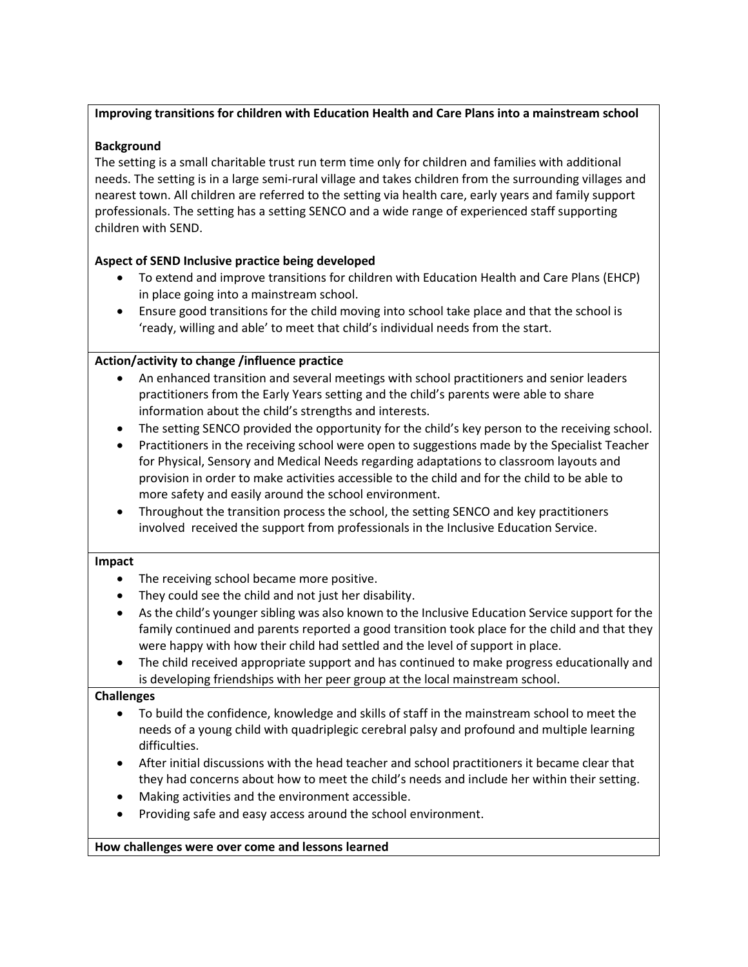#### **Improving transitions for children with Education Health and Care Plans into a mainstream school**

#### **Background**

The setting is a small charitable trust run term time only for children and families with additional needs. The setting is in a large semi-rural village and takes children from the surrounding villages and nearest town. All children are referred to the setting via health care, early years and family support professionals. The setting has a setting SENCO and a wide range of experienced staff supporting children with SEND.

# **Aspect of SEND Inclusive practice being developed**

- To extend and improve transitions for children with Education Health and Care Plans (EHCP) in place going into a mainstream school.
- Ensure good transitions for the child moving into school take place and that the school is 'ready, willing and able' to meet that child's individual needs from the start.

# **Action/activity to change /influence practice**

- An enhanced transition and several meetings with school practitioners and senior leaders practitioners from the Early Years setting and the child's parents were able to share information about the child's strengths and interests.
- The setting SENCO provided the opportunity for the child's key person to the receiving school.
- Practitioners in the receiving school were open to suggestions made by the Specialist Teacher for Physical, Sensory and Medical Needs regarding adaptations to classroom layouts and provision in order to make activities accessible to the child and for the child to be able to more safety and easily around the school environment.
- Throughout the transition process the school, the setting SENCO and key practitioners involved received the support from professionals in the Inclusive Education Service.

#### **Impact**

- The receiving school became more positive.
- They could see the child and not just her disability.
- As the child's younger sibling was also known to the Inclusive Education Service support for the family continued and parents reported a good transition took place for the child and that they were happy with how their child had settled and the level of support in place.
- The child received appropriate support and has continued to make progress educationally and is developing friendships with her peer group at the local mainstream school.

# **Challenges**

- To build the confidence, knowledge and skills of staff in the mainstream school to meet the needs of a young child with quadriplegic cerebral palsy and profound and multiple learning difficulties.
- After initial discussions with the head teacher and school practitioners it became clear that they had concerns about how to meet the child's needs and include her within their setting.
- Making activities and the environment accessible.
- Providing safe and easy access around the school environment.

**How challenges were over come and lessons learned**